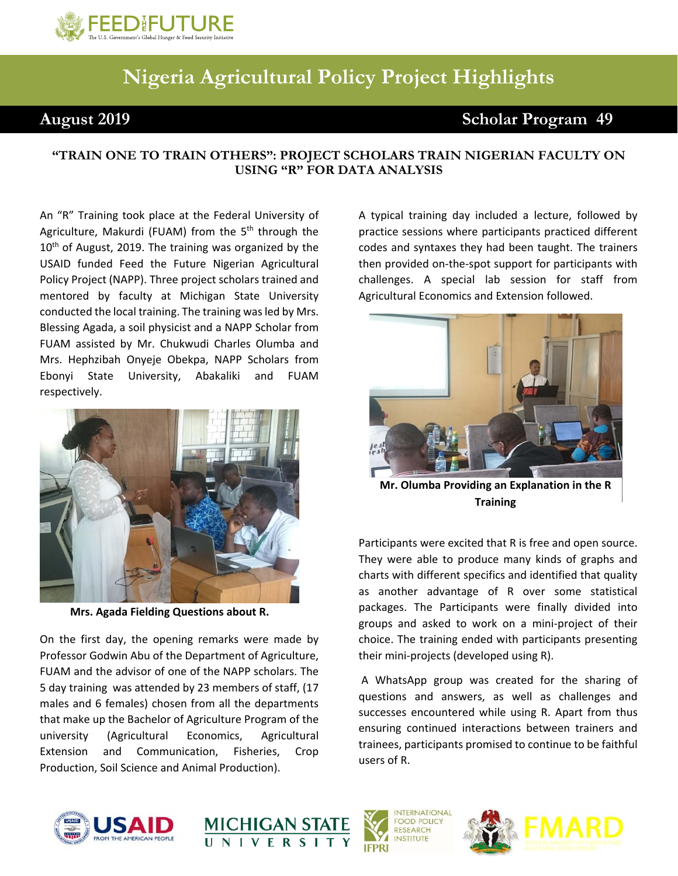

## **Nigeria Agricultural Policy Project Highlights**

## **August 2019 Scholar Program 49**

## **"TRAIN ONE TO TRAIN OTHERS": PROJECT SCHOLARS TRAIN NIGERIAN FACULTY ON USING "R" FOR DATA ANALYSIS**

 An "R" Training took place at the Federal University of Agriculture, Makurdi (FUAM) from the 5<sup>th</sup> through the USAID funded Feed the Future Nigerian Agricultural mentored by faculty at Michigan State University conducted the local training. The training was led by Mrs. Blessing Agada, a soil physicist and a NAPP Scholar from FUAM assisted by Mr. Chukwudi Charles Olumba and 10<sup>th</sup> of August, 2019. The training was organized by the Policy Project (NAPP). Three project scholars trained and Mrs. Hephzibah Onyeje Obekpa, NAPP Scholars from Ebonyi State University, Abakaliki and FUAM respectively.



 **Mrs. Agada Fielding Questions about R.**

 On the first day, the opening remarks were made by 5 day training was attended by 23 members of staff, (17 Professor Godwin Abu of the Department of Agriculture, FUAM and the advisor of one of the NAPP scholars. The males and 6 females) chosen from all the departments that make up the Bachelor of Agriculture Program of the university (Agricultural Economics, Agricultural Extension and Communication, Fisheries, Crop Production, Soil Science and Animal Production).

A typical training day included a lecture, followed by practice sessions where participants practiced different codes and syntaxes they had been taught. The trainers then provided on‐the‐spot support for participants with challenges. A special lab session for staff from Agricultural Economics and Extension followed.



**Mr. Olumba Providing an Explanation in the R Training**

 as another advantage of R over some statistical packages. The Participants were finally divided into choice. The training ended with participants presenting Participants were excited that R is free and open source. They were able to produce many kinds of graphs and charts with different specifics and identified that quality groups and asked to work on a mini‐project of their their mini‐projects (developed using R).

 A WhatsApp group was created for the sharing of questions and answers, as well as challenges and successes encountered while using R. Apart from thus ensuring continued interactions between trainers and trainees, participants promised to continue to be faithful users of R.